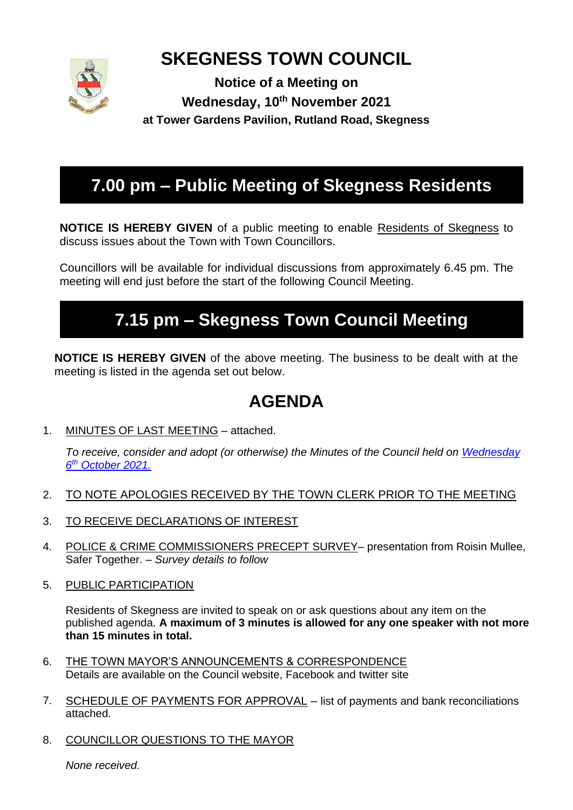

# **SKEGNESS TOWN COUNCIL**

**Notice of a Meeting on Wednesday, 10th November 2021 at Tower Gardens Pavilion, Rutland Road, Skegness**

# **7.00 pm – Public Meeting of Skegness Residents**

**NOTICE IS HEREBY GIVEN** of a public meeting to enable Residents of Skegness to discuss issues about the Town with Town Councillors.

Councillors will be available for individual discussions from approximately 6.45 pm. The meeting will end just before the start of the following Council Meeting.

# **7.15 pm – Skegness Town Council Meeting**

**NOTICE IS HEREBY GIVEN** of the above meeting. The business to be dealt with at the meeting is listed in the agenda set out below.

# **AGENDA**

1. MINUTES OF LAST MEETING – attached.

*To receive, consider and adopt (or otherwise) the Minutes of the Council held on [Wednesday](https://www.skegness.gov.uk/uploads/minsdraft-council-2021-10-06.pdf)  6 th [October 2021.](https://www.skegness.gov.uk/uploads/minsdraft-council-2021-10-06.pdf)*

- 2. TO NOTE APOLOGIES RECEIVED BY THE TOWN CLERK PRIOR TO THE MEETING
- 3. TO RECEIVE DECLARATIONS OF INTEREST
- 4. POLICE & CRIME COMMISSIONERS PRECEPT SURVEY– presentation from Roisin Mullee, Safer Together. *– Survey details to follow*
- 5. PUBLIC PARTICIPATION

Residents of Skegness are invited to speak on or ask questions about any item on the published agenda. **A maximum of 3 minutes is allowed for any one speaker with not more than 15 minutes in total.**

- 6. THE TOWN MAYOR'S ANNOUNCEMENTS & CORRESPONDENCE Details are available on the Council website, Facebook and twitter site
- 7. SCHEDULE OF PAYMENTS FOR APPROVAL list of payments and bank reconciliations attached.
- 8. COUNCILLOR QUESTIONS TO THE MAYOR

*None received.*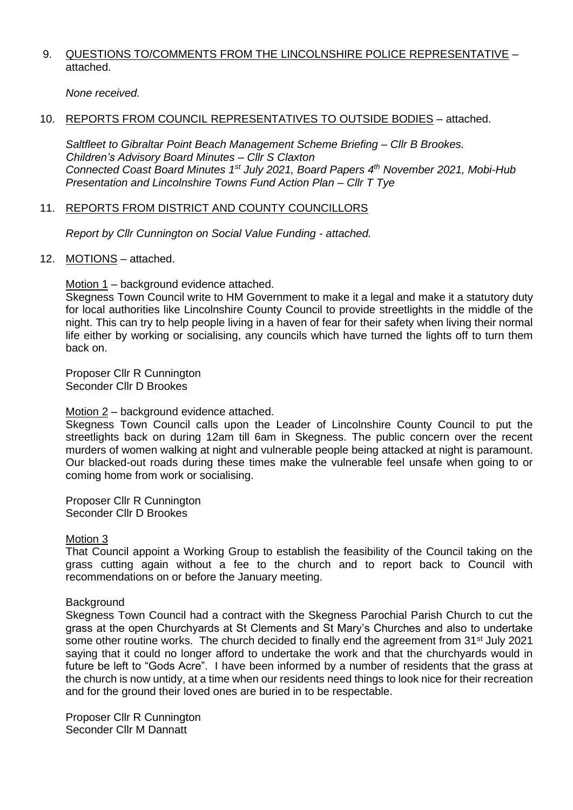### 9. QUESTIONS TO/COMMENTS FROM THE LINCOLNSHIRE POLICE REPRESENTATIVE attached.

*None received.*

## 10. REPORTS FROM COUNCIL REPRESENTATIVES TO OUTSIDE BODIES – attached.

*Saltfleet to Gibraltar Point Beach Management Scheme Briefing – Cllr B Brookes. Children's Advisory Board Minutes – Cllr S Claxton Connected Coast Board Minutes 1st July 2021, Board Papers 4 th November 2021, Mobi-Hub Presentation and Lincolnshire Towns Fund Action Plan – Cllr T Tye* 

## 11. REPORTS FROM DISTRICT AND COUNTY COUNCILLORS

*Report by Cllr Cunnington on Social Value Funding - attached.*

12. MOTIONS – attached.

Motion 1 – background evidence attached.

Skegness Town Council write to HM Government to make it a legal and make it a statutory duty for local authorities like Lincolnshire County Council to provide streetlights in the middle of the night. This can try to help people living in a haven of fear for their safety when living their normal life either by working or socialising, any councils which have turned the lights off to turn them back on.

Proposer Cllr R Cunnington Seconder Cllr D Brookes

### Motion 2 – background evidence attached.

Skegness Town Council calls upon the Leader of Lincolnshire County Council to put the streetlights back on during 12am till 6am in Skegness. The public concern over the recent murders of women walking at night and vulnerable people being attacked at night is paramount. Our blacked-out roads during these times make the vulnerable feel unsafe when going to or coming home from work or socialising.

Proposer Cllr R Cunnington Seconder Cllr D Brookes

### Motion 3

That Council appoint a Working Group to establish the feasibility of the Council taking on the grass cutting again without a fee to the church and to report back to Council with recommendations on or before the January meeting.

### **Background**

Skegness Town Council had a contract with the Skegness Parochial Parish Church to cut the grass at the open Churchyards at St Clements and St Mary's Churches and also to undertake some other routine works. The church decided to finally end the agreement from 31<sup>st</sup> July 2021 saying that it could no longer afford to undertake the work and that the churchyards would in future be left to "Gods Acre". I have been informed by a number of residents that the grass at the church is now untidy, at a time when our residents need things to look nice for their recreation and for the ground their loved ones are buried in to be respectable.

Proposer Cllr R Cunnington Seconder Cllr M Dannatt